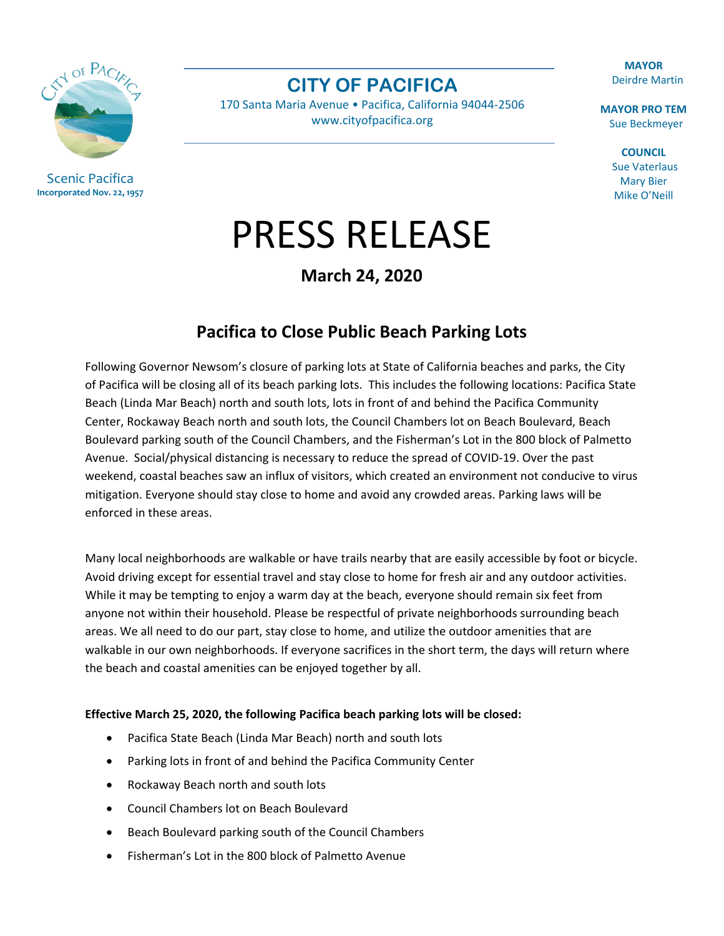CN OF PAC

Scenic Pacifica **Incorporated Nov. 22, 1957** **CITY OF PACIFICA**

170 Santa Maria Avenue • Pacifica, California 94044-2506 [www.cityofpacifica.org](http://www.cityofpacifica.org/)

**MAYOR** Deirdre Martin

**MAYOR PRO TEM** Sue Beckmeyer

> **COUNCIL** Sue Vaterlaus Mary Bier Mike O'Neill

## PRESS RELEASE

**March 24, 2020**

## **Pacifica to Close Public Beach Parking Lots**

Following Governor Newsom's closure of parking lots at State of California beaches and parks, the City of Pacifica will be closing all of its beach parking lots. This includes the following locations: Pacifica State Beach (Linda Mar Beach) north and south lots, lots in front of and behind the Pacifica Community Center, Rockaway Beach north and south lots, the Council Chambers lot on Beach Boulevard, Beach Boulevard parking south of the Council Chambers, and the Fisherman's Lot in the 800 block of Palmetto Avenue. Social/physical distancing is necessary to reduce the spread of COVID-19. Over the past weekend, coastal beaches saw an influx of visitors, which created an environment not conducive to virus mitigation. Everyone should stay close to home and avoid any crowded areas. Parking laws will be enforced in these areas.

Many local neighborhoods are walkable or have trails nearby that are easily accessible by foot or bicycle. Avoid driving except for essential travel and stay close to home for fresh air and any outdoor activities. While it may be tempting to enjoy a warm day at the beach, everyone should remain six feet from anyone not within their household. Please be respectful of private neighborhoods surrounding beach areas. We all need to do our part, stay close to home, and utilize the outdoor amenities that are walkable in our own neighborhoods. If everyone sacrifices in the short term, the days will return where the beach and coastal amenities can be enjoyed together by all.

## **Effective March 25, 2020, the following Pacifica beach parking lots will be closed:**

- Pacifica State Beach (Linda Mar Beach) north and south lots
- Parking lots in front of and behind the Pacifica Community Center
- Rockaway Beach north and south lots
- Council Chambers lot on Beach Boulevard
- Beach Boulevard parking south of the Council Chambers
- Fisherman's Lot in the 800 block of Palmetto Avenue